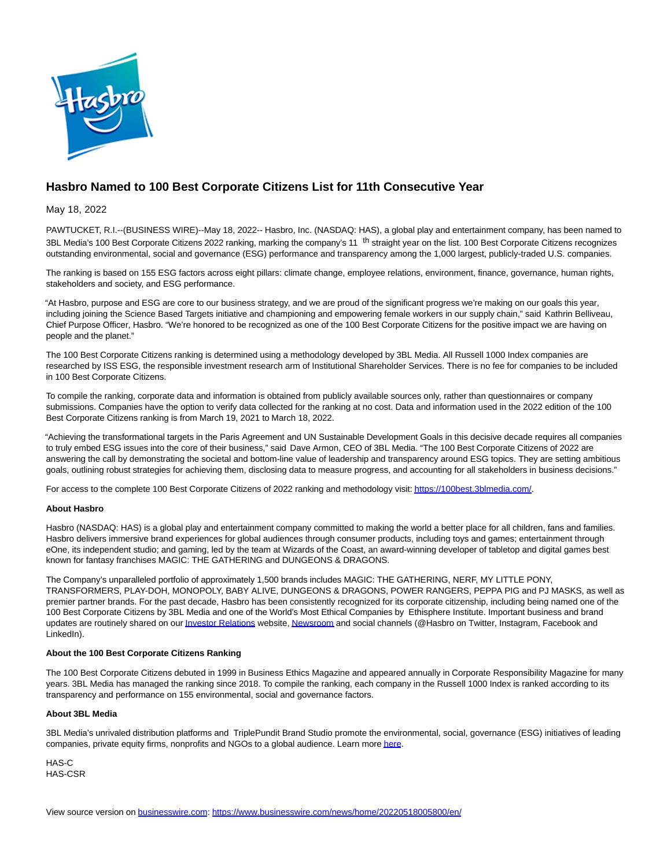

## **Hasbro Named to 100 Best Corporate Citizens List for 11th Consecutive Year**

May 18, 2022

PAWTUCKET, R.I.--(BUSINESS WIRE)--May 18, 2022-- Hasbro, Inc. (NASDAQ: HAS), a global play and entertainment company, has been named to 3BL Media's 100 Best Corporate Citizens 2022 ranking, marking the company's 11 <sup>th</sup> straight year on the list. 100 Best Corporate Citizens recognizes outstanding environmental, social and governance (ESG) performance and transparency among the 1,000 largest, publicly-traded U.S. companies.

The ranking is based on 155 ESG factors across eight pillars: climate change, employee relations, environment, finance, governance, human rights, stakeholders and society, and ESG performance.

"At Hasbro, purpose and ESG are core to our business strategy, and we are proud of the significant progress we're making on our goals this year, including joining the Science Based Targets initiative and championing and empowering female workers in our supply chain," said Kathrin Belliveau, Chief Purpose Officer, Hasbro. "We're honored to be recognized as one of the 100 Best Corporate Citizens for the positive impact we are having on people and the planet."

The 100 Best Corporate Citizens ranking is determined using a methodology developed by 3BL Media. All Russell 1000 Index companies are researched by ISS ESG, the responsible investment research arm of Institutional Shareholder Services. There is no fee for companies to be included in 100 Best Corporate Citizens.

To compile the ranking, corporate data and information is obtained from publicly available sources only, rather than questionnaires or company submissions. Companies have the option to verify data collected for the ranking at no cost. Data and information used in the 2022 edition of the 100 Best Corporate Citizens ranking is from March 19, 2021 to March 18, 2022.

"Achieving the transformational targets in the Paris Agreement and UN Sustainable Development Goals in this decisive decade requires all companies to truly embed ESG issues into the core of their business," said Dave Armon, CEO of 3BL Media. "The 100 Best Corporate Citizens of 2022 are answering the call by demonstrating the societal and bottom-line value of leadership and transparency around ESG topics. They are setting ambitious goals, outlining robust strategies for achieving them, disclosing data to measure progress, and accounting for all stakeholders in business decisions."

For access to the complete 100 Best Corporate Citizens of 2022 ranking and methodology visit[: https://100best.3blmedia.com/.](https://cts.businesswire.com/ct/CT?id=smartlink&url=https%3A%2F%2F100best.3blmedia.com%2F&esheet=52723561&newsitemid=20220518005800&lan=en-US&anchor=https%3A%2F%2F100best.3blmedia.com%2F&index=1&md5=16501ca8d9169b9fe37c6fb28f467adc)

## **About Hasbro**

Hasbro (NASDAQ: HAS) is a global play and entertainment company committed to making the world a better place for all children, fans and families. Hasbro delivers immersive brand experiences for global audiences through consumer products, including toys and games; entertainment through eOne, its independent studio; and gaming, led by the team at Wizards of the Coast, an award-winning developer of tabletop and digital games best known for fantasy franchises MAGIC: THE GATHERING and DUNGEONS & DRAGONS.

The Company's unparalleled portfolio of approximately 1,500 brands includes MAGIC: THE GATHERING, NERF, MY LITTLE PONY, TRANSFORMERS, PLAY-DOH, MONOPOLY, BABY ALIVE, DUNGEONS & DRAGONS, POWER RANGERS, PEPPA PIG and PJ MASKS, as well as premier partner brands. For the past decade, Hasbro has been consistently recognized for its corporate citizenship, including being named one of the 100 Best Corporate Citizens by 3BL Media and one of the World's Most Ethical Companies by Ethisphere Institute. Important business and brand updates are routinely shared on our *Investor Relations* website[, Newsroom a](https://cts.businesswire.com/ct/CT?id=smartlink&url=https%3A%2F%2Fcorporate.hasbro.com%2Fen-us%2Fnews&esheet=52723561&newsitemid=20220518005800&lan=en-US&anchor=Newsroom&index=3&md5=475561ac20f60f01328c50a36aedae09)nd social channels (@Hasbro on Twitter, Instagram, Facebook and LinkedIn).

## **About the 100 Best Corporate Citizens Ranking**

The 100 Best Corporate Citizens debuted in 1999 in Business Ethics Magazine and appeared annually in Corporate Responsibility Magazine for many years. 3BL Media has managed the ranking since 2018. To compile the ranking, each company in the Russell 1000 Index is ranked according to its transparency and performance on 155 environmental, social and governance factors.

## **About 3BL Media**

3BL Media's unrivaled distribution platforms and TriplePundit Brand Studio promote the environmental, social, governance (ESG) initiatives of leading companies, private equity firms, nonprofits and NGOs to a global audience. Learn mor[e here.](https://cts.businesswire.com/ct/CT?id=smartlink&url=https%3A%2F%2Fwww.3blmedia.com%2F&esheet=52723561&newsitemid=20220518005800&lan=en-US&anchor=here&index=4&md5=0a35bd558775e1c04d8dc071afea33b5)

HAS-C HAS-CSR